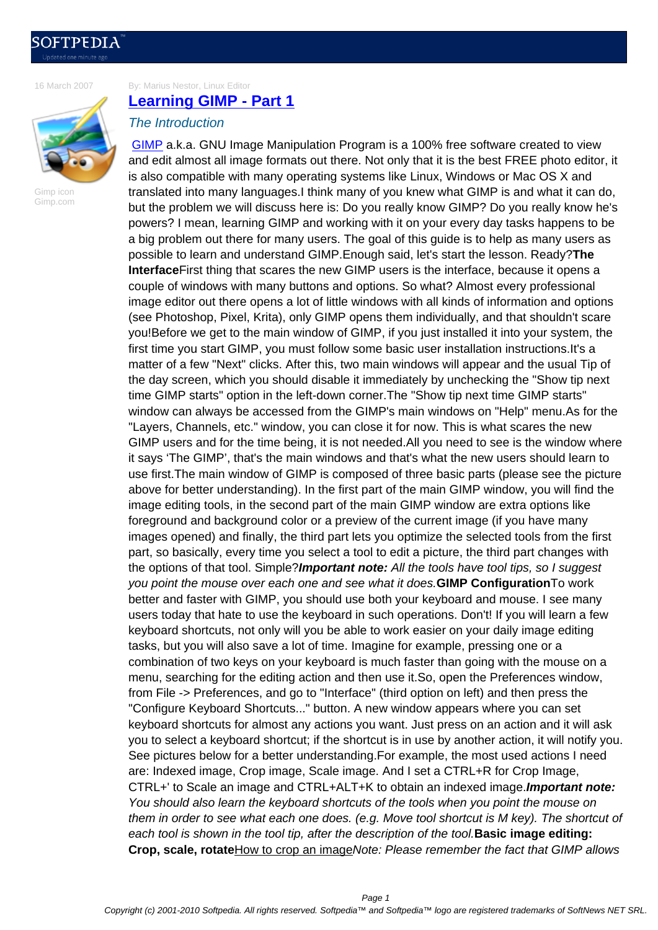[16 March 2007](http://news.softpedia.com)

By: Marius Nestor, Linux Editor **Learning GIMP - Part 1**

Gimp icon Gimp.com

## The Introduction

GIMP a.k.a. GNU Image Manipulation Program is a 100% free software created to view [and edit almost all image forma](http://news.softpedia.com/news/Learning-GIMP-Part-1-49639.shtml)ts out there. Not only that it is the best FREE photo editor, it is also compatible with many operating systems like Linux, Windows or Mac OS X and translated into many languages.I think many of you knew what GIMP is and what it can do, [but the](http://www.gimp.org) problem we will discuss here is: Do you really know GIMP? Do you really know he's powers? I mean, learning GIMP and working with it on your every day tasks happens to be a big problem out there for many users. The goal of this guide is to help as many users as possible to learn and understand GIMP.Enough said, let's start the lesson. Ready?**The Interface**First thing that scares the new GIMP users is the interface, because it opens a couple of windows with many buttons and options. So what? Almost every professional image editor out there opens a lot of little windows with all kinds of information and options (see Photoshop, Pixel, Krita), only GIMP opens them individually, and that shouldn't scare you!Before we get to the main window of GIMP, if you just installed it into your system, the first time you start GIMP, you must follow some basic user installation instructions.It's a matter of a few "Next" clicks. After this, two main windows will appear and the usual Tip of the day screen, which you should disable it immediately by unchecking the "Show tip next time GIMP starts" option in the left-down corner.The "Show tip next time GIMP starts" window can always be accessed from the GIMP's main windows on "Help" menu.As for the "Layers, Channels, etc." window, you can close it for now. This is what scares the new GIMP users and for the time being, it is not needed.All you need to see is the window where it says 'The GIMP', that's the main windows and that's what the new users should learn to use first.The main window of GIMP is composed of three basic parts (please see the picture above for better understanding). In the first part of the main GIMP window, you will find the image editing tools, in the second part of the main GIMP window are extra options like foreground and background color or a preview of the current image (if you have many images opened) and finally, the third part lets you optimize the selected tools from the first part, so basically, every time you select a tool to edit a picture, the third part changes with the options of that tool. Simple?**Important note:** All the tools have tool tips, so I suggest you point the mouse over each one and see what it does.**GIMP Configuration**To work better and faster with GIMP, you should use both your keyboard and mouse. I see many users today that hate to use the keyboard in such operations. Don't! If you will learn a few keyboard shortcuts, not only will you be able to work easier on your daily image editing tasks, but you will also save a lot of time. Imagine for example, pressing one or a combination of two keys on your keyboard is much faster than going with the mouse on a menu, searching for the editing action and then use it.So, open the Preferences window, from File -> Preferences, and go to "Interface" (third option on left) and then press the "Configure Keyboard Shortcuts..." button. A new window appears where you can set keyboard shortcuts for almost any actions you want. Just press on an action and it will ask you to select a keyboard shortcut; if the shortcut is in use by another action, it will notify you. See pictures below for a better understanding.For example, the most used actions I need are: Indexed image, Crop image, Scale image. And I set a CTRL+R for Crop Image, CTRL+' to Scale an image and CTRL+ALT+K to obtain an indexed image.**Important note:** You should also learn the keyboard shortcuts of the tools when you point the mouse on them in order to see what each one does. (e.g. Move tool shortcut is M key). The shortcut of each tool is shown in the tool tip, after the description of the tool.**Basic image editing: Crop, scale, rotate**How to crop an imageNote: Please remember the fact that GIMP allows